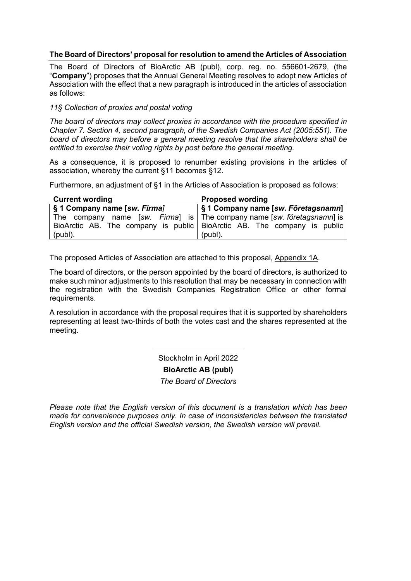#### **The Board of Directors' proposal for resolution to amend the Articles of Association**

The Board of Directors of BioArctic AB (publ), corp. reg. no. 556601-2679, (the "**Company**") proposes that the Annual General Meeting resolves to adopt new Articles of Association with the effect that a new paragraph is introduced in the articles of association as follows:

#### *11§ Collection of proxies and postal voting*

*The board of directors may collect proxies in accordance with the procedure specified in Chapter 7. Section 4, second paragraph, of the Swedish Companies Act (2005:551). The board of directors may before a general meeting resolve that the shareholders shall be entitled to exercise their voting rights by post before the general meeting.*

As a consequence, it is proposed to renumber existing provisions in the articles of association, whereby the current §11 becomes §12.

Furthermore, an adjustment of §1 in the Articles of Association is proposed as follows:

| <b>Current wording</b>       | <b>Proposed wording</b>                                                  |
|------------------------------|--------------------------------------------------------------------------|
| § 1 Company name [sw. Firma] | S1 Company name [sw. Företagsnamn]                                       |
|                              | The company name [sw. Firma] is   The company name [sw. företagsnamn] is |
|                              | BioArctic AB. The company is public BioArctic AB. The company is public  |
| $(publ)$ .                   | (publ).                                                                  |

The proposed Articles of Association are attached to this proposal, Appendix 1A.

The board of directors, or the person appointed by the board of directors, is authorized to make such minor adjustments to this resolution that may be necessary in connection with the registration with the Swedish Companies Registration Office or other formal requirements.

A resolution in accordance with the proposal requires that it is supported by shareholders representing at least two-thirds of both the votes cast and the shares represented at the meeting.

Stockholm in April 2022

**BioArctic AB (publ)**

*The Board of Directors*

*Please note that the English version of this document is a translation which has been made for convenience purposes only. In case of inconsistencies between the translated English version and the official Swedish version, the Swedish version will prevail.*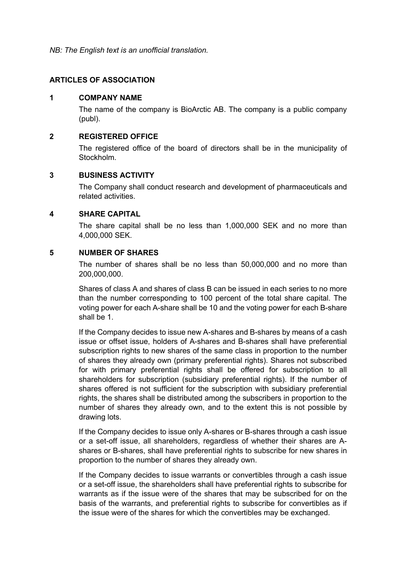*NB: The English text is an unofficial translation.*

## **ARTICLES OF ASSOCIATION**

#### **1 COMPANY NAME**

The name of the company is BioArctic AB. The company is a public company (publ).

## **2 REGISTERED OFFICE**

The registered office of the board of directors shall be in the municipality of Stockholm.

#### **3 BUSINESS ACTIVITY**

The Company shall conduct research and development of pharmaceuticals and related activities.

#### **4 SHARE CAPITAL**

The share capital shall be no less than 1,000,000 SEK and no more than 4,000,000 SEK.

## **5 NUMBER OF SHARES**

The number of shares shall be no less than 50,000,000 and no more than 200,000,000.

Shares of class A and shares of class B can be issued in each series to no more than the number corresponding to 100 percent of the total share capital. The voting power for each A-share shall be 10 and the voting power for each B-share shall be 1.

If the Company decides to issue new A-shares and B-shares by means of a cash issue or offset issue, holders of A-shares and B-shares shall have preferential subscription rights to new shares of the same class in proportion to the number of shares they already own (primary preferential rights). Shares not subscribed for with primary preferential rights shall be offered for subscription to all shareholders for subscription (subsidiary preferential rights). If the number of shares offered is not sufficient for the subscription with subsidiary preferential rights, the shares shall be distributed among the subscribers in proportion to the number of shares they already own, and to the extent this is not possible by drawing lots.

If the Company decides to issue only A-shares or B-shares through a cash issue or a set-off issue, all shareholders, regardless of whether their shares are Ashares or B-shares, shall have preferential rights to subscribe for new shares in proportion to the number of shares they already own.

If the Company decides to issue warrants or convertibles through a cash issue or a set-off issue, the shareholders shall have preferential rights to subscribe for warrants as if the issue were of the shares that may be subscribed for on the basis of the warrants, and preferential rights to subscribe for convertibles as if the issue were of the shares for which the convertibles may be exchanged.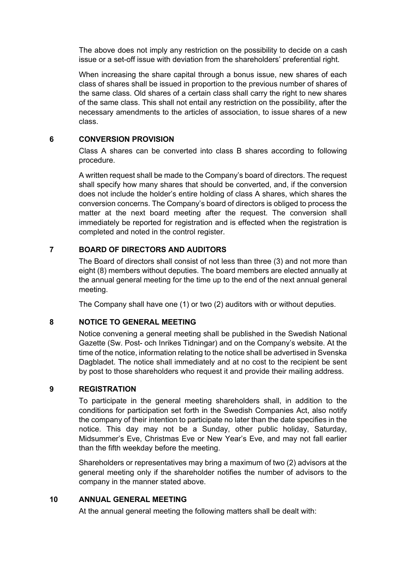The above does not imply any restriction on the possibility to decide on a cash issue or a set-off issue with deviation from the shareholders' preferential right.

When increasing the share capital through a bonus issue, new shares of each class of shares shall be issued in proportion to the previous number of shares of the same class. Old shares of a certain class shall carry the right to new shares of the same class. This shall not entail any restriction on the possibility, after the necessary amendments to the articles of association, to issue shares of a new class.

#### **6 CONVERSION PROVISION**

Class A shares can be converted into class B shares according to following procedure.

A written request shall be made to the Company's board of directors. The request shall specify how many shares that should be converted, and, if the conversion does not include the holder's entire holding of class A shares, which shares the conversion concerns. The Company's board of directors is obliged to process the matter at the next board meeting after the request. The conversion shall immediately be reported for registration and is effected when the registration is completed and noted in the control register.

## **7 BOARD OF DIRECTORS AND AUDITORS**

The Board of directors shall consist of not less than three (3) and not more than eight (8) members without deputies. The board members are elected annually at the annual general meeting for the time up to the end of the next annual general meeting.

The Company shall have one (1) or two (2) auditors with or without deputies.

## **8 NOTICE TO GENERAL MEETING**

Notice convening a general meeting shall be published in the Swedish National Gazette (Sw. Post- och Inrikes Tidningar) and on the Company's website. At the time of the notice, information relating to the notice shall be advertised in Svenska Dagbladet. The notice shall immediately and at no cost to the recipient be sent by post to those shareholders who request it and provide their mailing address.

## **9 REGISTRATION**

To participate in the general meeting shareholders shall, in addition to the conditions for participation set forth in the Swedish Companies Act, also notify the company of their intention to participate no later than the date specifies in the notice. This day may not be a Sunday, other public holiday, Saturday, Midsummer's Eve, Christmas Eve or New Year's Eve, and may not fall earlier than the fifth weekday before the meeting.

Shareholders or representatives may bring a maximum of two (2) advisors at the general meeting only if the shareholder notifies the number of advisors to the company in the manner stated above.

### **10 ANNUAL GENERAL MEETING**

At the annual general meeting the following matters shall be dealt with: